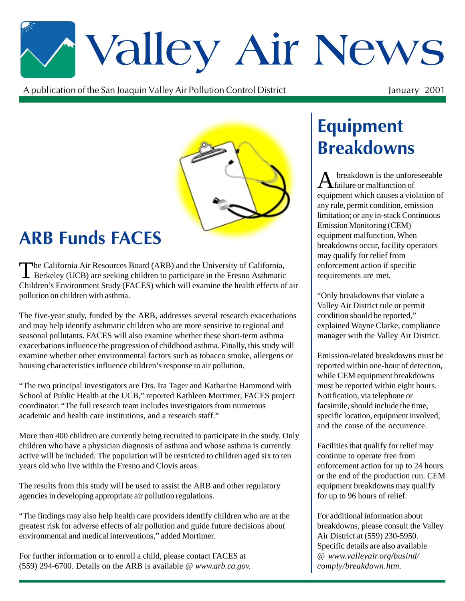# \*Valley Air News

A publication of the San Joaquin Valley Air Pollution Control District  $\mathbf t$ 

#### January 2001



## **ARB Funds FACES**

The California Air Resources Board (ARB) and the University of California,<br>Berkeley (UCB) are seeking children to participate in the Fresno Asthmatic Children's Environment Study (FACES) which will examine the health effects of air pollution on children with asthma.

The five-year study, funded by the ARB, addresses several research exacerbations and may help identify asthmatic children who are more sensitive to regional and seasonal pollutants. FACES will also examine whether these short-term asthma exacerbations influence the progression of childhood asthma. Finally, this study will examine whether other environmental factors such as tobacco smoke, allergens or housing characteristics influence children's response to air pollution.

"The two principal investigators are Drs. Ira Tager and Katharine Hammond with School of Public Health at the UCB," reported Kathleen Mortimer, FACES project coordinator. "The full research team includes investigators from numerous academic and health care institutions, and a research staff."

More than 400 children are currently being recruited to participate in the study. Only children who have a physician diagnosis of asthma and whose asthma is currently active will be included. The population will be restricted to children aged six to ten years old who live within the Fresno and Clovis areas.

The results from this study will be used to assist the ARB and other regulatory agencies in developing appropriate air pollution regulations.

"The findings may also help health care providers identify children who are at the greatest risk for adverse effects of air pollution and guide future decisions about environmental and medical interventions," added Mortimer.

For further information or to enroll a child, please contact FACES at (559) 294-6700. Details on the ARB is available @ *www.arb.ca.gov.*

## **Equipment Breakdowns**

A breakdown is the unforeseeable failure or malfunction of equipment which causes a violation of any rule, permit condition, emission limitation; or any in-stack Continuous Emission Monitoring (CEM) equipment malfunction. When breakdowns occur, facility operators may qualify for relief from enforcement action if specific requirements are met.

"Only breakdowns that violate a Valley Air District rule or permit condition should be reported," explained Wayne Clarke, compliance manager with the Valley Air District.

Emission-related breakdowns must be reported within one-hour of detection, while CEM equipment breakdowns must be reported within eight hours. Notification, via telephone or facsimile, should include the time, specific location, equipment involved, and the cause of the occurrence.

Facilities that qualify for relief may continue to operate free from enforcement action for up to 24 hours or the end of the production run. CEM equipment breakdowns may qualify for up to 96 hours of relief.

For additional information about breakdowns, please consult the Valley Air District at (559) 230-5950. Specific details are also available @ *www.valleyair.org/busind/ comply/breakdown.htm.*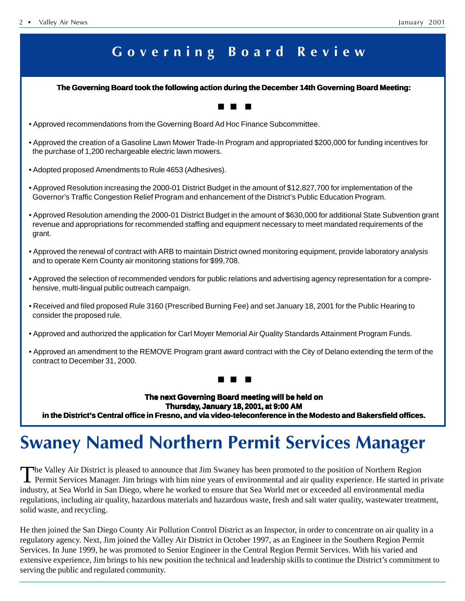### Governing Board Review

#### **The Governing Board took the following action during the December 14th Governing Board Meeting: The Board took the following action during the Governing Board**

- Approved recommendations from the Governing Board Ad Hoc Finance Subcommittee.
- Approved the creation of a Gasoline Lawn Mower Trade-In Program and appropriated \$200,000 for funding incentives for the purchase of 1,200 rechargeable electric lawn mowers.
- Adopted proposed Amendments to Rule 4653 (Adhesives).
- Approved Resolution increasing the 2000-01 District Budget in the amount of \$12,827,700 for implementation of the Governor's Traffic Congestion Relief Program and enhancement of the District's Public Education Program.
- Approved Resolution amending the 2000-01 District Budget in the amount of \$630,000 for additional State Subvention grant revenue and appropriations for recommended staffing and equipment necessary to meet mandated requirements of the grant.
- Approved the renewal of contract with ARB to maintain District owned monitoring equipment, provide laboratory analysis and to operate Kern County air monitoring stations for \$99,708.
- Approved the selection of recommended vendors for public relations and advertising agency representation for a comprehensive, multi-lingual public outreach campaign.
- Received and filed proposed Rule 3160 (Prescribed Burning Fee) and set January 18, 2001 for the Public Hearing to consider the proposed rule.
- Approved and authorized the application for Carl Moyer Memorial Air Quality Standards Attainment Program Funds.
- Approved an amendment to the REMOVE Program grant award contract with the City of Delano extending the term of the contract to December 31, 2000.

#### ■ ■ ■

**The next Governing Board meeting will be held on Thursday, January 18, 2001, at 9:00 AM** In the District's Central office in Fresno, and via video-teleconference in the Modesto and Bakersfield offices.

## **Swaney Named Northern Permit Services Manager**

The Valley Air District is pleased to announce that Jim Swaney has been promoted to the position of Northern Region<br>Permit Services Manager. Jim brings with him nine years of environmental and air quality experience. He st industry, at Sea World in San Diego, where he worked to ensure that Sea World met or exceeded all environmental media regulations, including air quality, hazardous materials and hazardous waste, fresh and salt water quality, wastewater treatment, solid waste, and recycling.

He then joined the San Diego County Air Pollution Control District as an Inspector, in order to concentrate on air quality in a regulatory agency. Next, Jim joined the Valley Air District in October 1997, as an Engineer in the Southern Region Permit Services. In June 1999, he was promoted to Senior Engineer in the Central Region Permit Services. With his varied and extensive experience, Jim brings to his new position the technical and leadership skills to continue the District's commitment to serving the public and regulated community.

#### ■ ■ ■